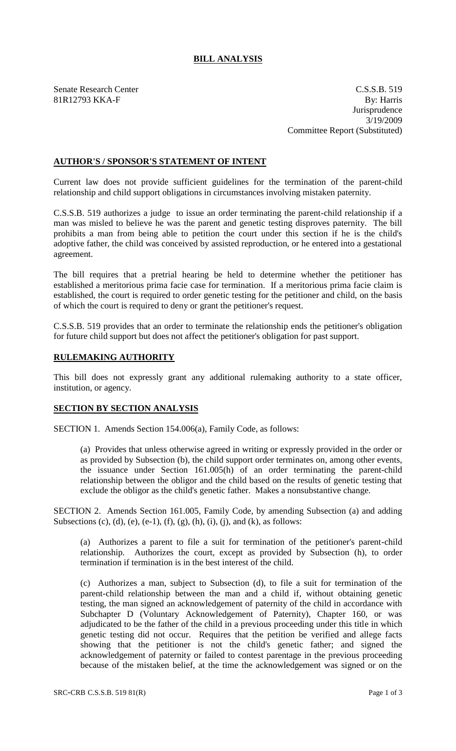## **BILL ANALYSIS**

Senate Research Center C.S.S.B. 519 81R12793 KKA-F By: Harris **Jurisprudence** 3/19/2009 Committee Report (Substituted)

## **AUTHOR'S / SPONSOR'S STATEMENT OF INTENT**

Current law does not provide sufficient guidelines for the termination of the parent-child relationship and child support obligations in circumstances involving mistaken paternity.

C.S.S.B. 519 authorizes a judge to issue an order terminating the parent-child relationship if a man was misled to believe he was the parent and genetic testing disproves paternity. The bill prohibits a man from being able to petition the court under this section if he is the child's adoptive father, the child was conceived by assisted reproduction, or he entered into a gestational agreement.

The bill requires that a pretrial hearing be held to determine whether the petitioner has established a meritorious prima facie case for termination. If a meritorious prima facie claim is established, the court is required to order genetic testing for the petitioner and child, on the basis of which the court is required to deny or grant the petitioner's request.

C.S.S.B. 519 provides that an order to terminate the relationship ends the petitioner's obligation for future child support but does not affect the petitioner's obligation for past support.

## **RULEMAKING AUTHORITY**

This bill does not expressly grant any additional rulemaking authority to a state officer, institution, or agency.

## **SECTION BY SECTION ANALYSIS**

SECTION 1. Amends Section 154.006(a), Family Code, as follows:

(a) Provides that unless otherwise agreed in writing or expressly provided in the order or as provided by Subsection (b), the child support order terminates on, among other events, the issuance under Section 161.005(h) of an order terminating the parent-child relationship between the obligor and the child based on the results of genetic testing that exclude the obligor as the child's genetic father. Makes a nonsubstantive change.

SECTION 2. Amends Section 161.005, Family Code, by amending Subsection (a) and adding Subsections (c), (d), (e), (e-1), (f), (g), (h), (i), (j), and (k), as follows:

(a) Authorizes a parent to file a suit for termination of the petitioner's parent-child relationship. Authorizes the court, except as provided by Subsection (h), to order termination if termination is in the best interest of the child.

(c) Authorizes a man, subject to Subsection (d), to file a suit for termination of the parent-child relationship between the man and a child if, without obtaining genetic testing, the man signed an acknowledgement of paternity of the child in accordance with Subchapter D (Voluntary Acknowledgement of Paternity), Chapter 160, or was adjudicated to be the father of the child in a previous proceeding under this title in which genetic testing did not occur. Requires that the petition be verified and allege facts showing that the petitioner is not the child's genetic father; and signed the acknowledgement of paternity or failed to contest parentage in the previous proceeding because of the mistaken belief, at the time the acknowledgement was signed or on the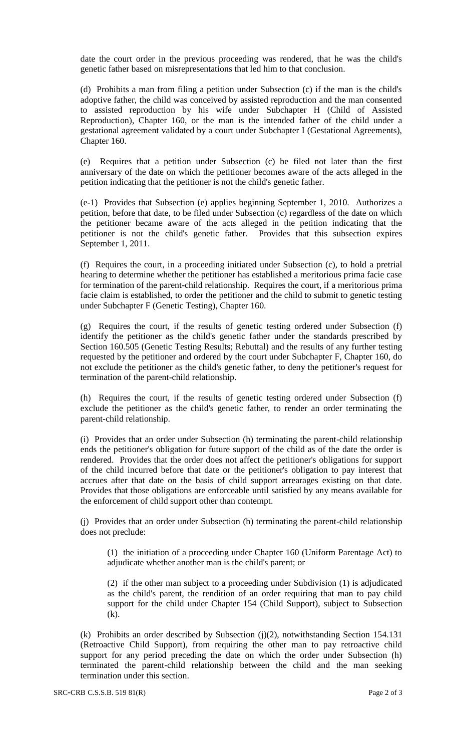date the court order in the previous proceeding was rendered, that he was the child's genetic father based on misrepresentations that led him to that conclusion.

(d) Prohibits a man from filing a petition under Subsection (c) if the man is the child's adoptive father, the child was conceived by assisted reproduction and the man consented to assisted reproduction by his wife under Subchapter H (Child of Assisted Reproduction), Chapter 160, or the man is the intended father of the child under a gestational agreement validated by a court under Subchapter I (Gestational Agreements), Chapter 160.

(e) Requires that a petition under Subsection (c) be filed not later than the first anniversary of the date on which the petitioner becomes aware of the acts alleged in the petition indicating that the petitioner is not the child's genetic father.

(e-1) Provides that Subsection (e) applies beginning September 1, 2010. Authorizes a petition, before that date, to be filed under Subsection (c) regardless of the date on which the petitioner became aware of the acts alleged in the petition indicating that the petitioner is not the child's genetic father. Provides that this subsection expires September 1, 2011.

(f) Requires the court, in a proceeding initiated under Subsection (c), to hold a pretrial hearing to determine whether the petitioner has established a meritorious prima facie case for termination of the parent-child relationship. Requires the court, if a meritorious prima facie claim is established, to order the petitioner and the child to submit to genetic testing under Subchapter F (Genetic Testing), Chapter 160.

(g) Requires the court, if the results of genetic testing ordered under Subsection (f) identify the petitioner as the child's genetic father under the standards prescribed by Section 160.505 (Genetic Testing Results; Rebuttal) and the results of any further testing requested by the petitioner and ordered by the court under Subchapter F, Chapter 160, do not exclude the petitioner as the child's genetic father, to deny the petitioner's request for termination of the parent-child relationship.

(h) Requires the court, if the results of genetic testing ordered under Subsection (f) exclude the petitioner as the child's genetic father, to render an order terminating the parent-child relationship.

(i) Provides that an order under Subsection (h) terminating the parent-child relationship ends the petitioner's obligation for future support of the child as of the date the order is rendered. Provides that the order does not affect the petitioner's obligations for support of the child incurred before that date or the petitioner's obligation to pay interest that accrues after that date on the basis of child support arrearages existing on that date. Provides that those obligations are enforceable until satisfied by any means available for the enforcement of child support other than contempt.

(j) Provides that an order under Subsection (h) terminating the parent-child relationship does not preclude:

(1) the initiation of a proceeding under Chapter 160 (Uniform Parentage Act) to adjudicate whether another man is the child's parent; or

(2) if the other man subject to a proceeding under Subdivision (1) is adjudicated as the child's parent, the rendition of an order requiring that man to pay child support for the child under Chapter 154 (Child Support), subject to Subsection (k).

(k) Prohibits an order described by Subsection (j)(2), notwithstanding Section 154.131 (Retroactive Child Support), from requiring the other man to pay retroactive child support for any period preceding the date on which the order under Subsection (h) terminated the parent-child relationship between the child and the man seeking termination under this section.